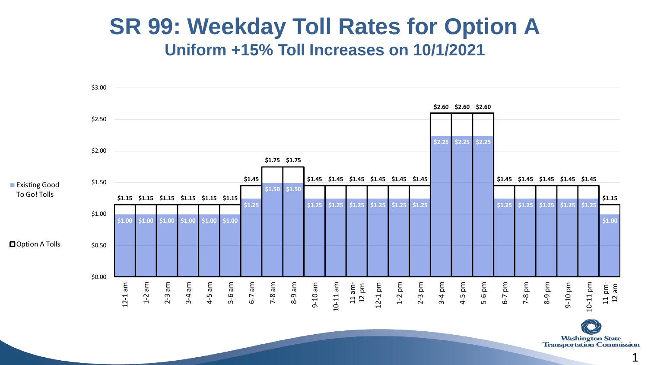## **SR 99: Weekday Toll Rates for Option A Uniform +15% Toll Increases on 10/1/2021 SR 99 Option A Weekday Toll Rates**



**Washington State Transportation Commission**